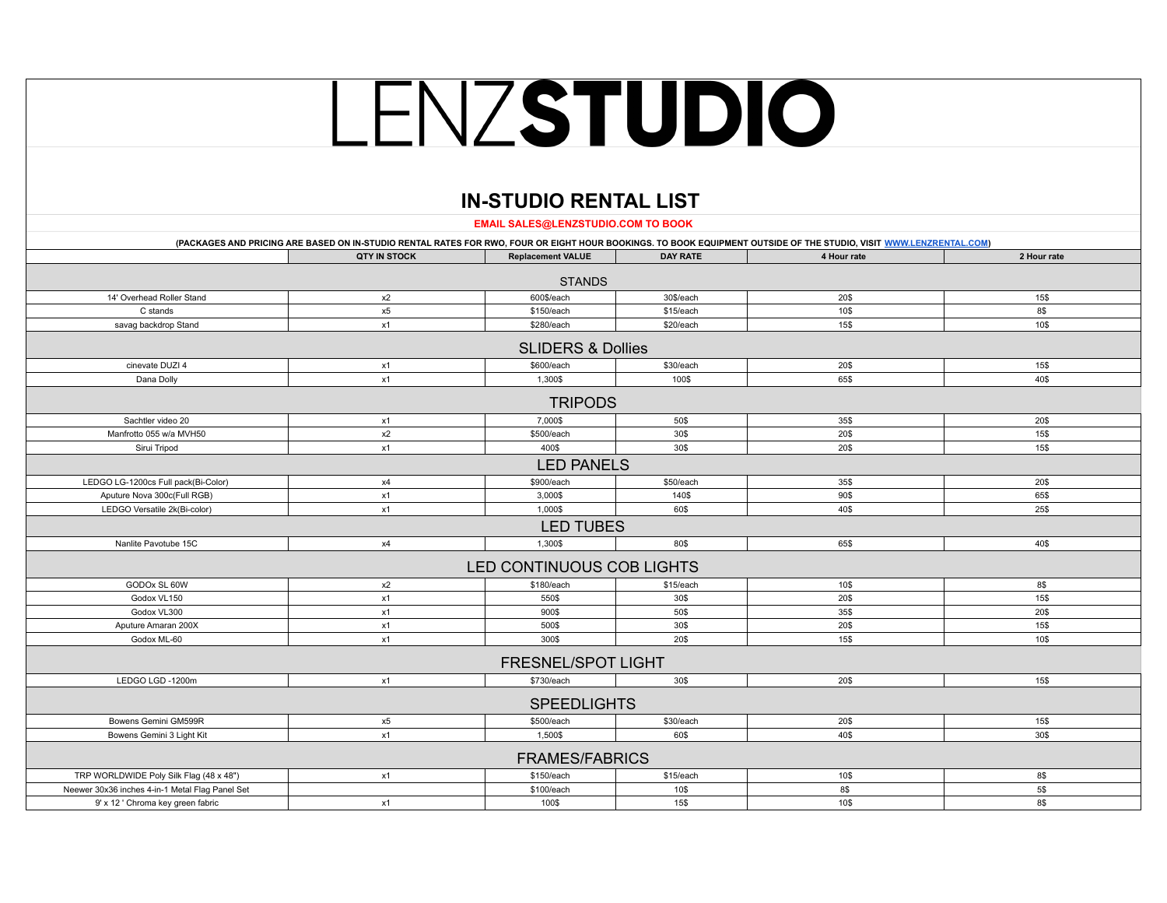## LENZSTUDIO

## **IN-STUDIO RENTAL LIST**

**EMAIL SALES@LENZSTUDIO.COM TO BOOK**

|                                                 |                     |                              |                 | (PACKAGES AND PRICING ARE BASED ON IN-STUDIO RENTAL RATES FOR RWO, FOUR OR EIGHT HOUR BOOKINGS. TO BOOK EQUIPMENT OUTSIDE OF THE STUDIO, VISIT WWW.LENZRENTAL.COM) |             |
|-------------------------------------------------|---------------------|------------------------------|-----------------|--------------------------------------------------------------------------------------------------------------------------------------------------------------------|-------------|
|                                                 | <b>QTY IN STOCK</b> | <b>Replacement VALUE</b>     | <b>DAY RATE</b> | 4 Hour rate                                                                                                                                                        | 2 Hour rate |
|                                                 |                     | <b>STANDS</b>                |                 |                                                                                                                                                                    |             |
| 14' Overhead Roller Stand                       | x2                  | 600\$/each                   | 30\$/each       | 20\$                                                                                                                                                               | 15\$        |
| C stands                                        | x5                  | \$150/each                   | \$15/each       | 10\$                                                                                                                                                               | 8\$         |
| savag backdrop Stand                            | x1                  | \$280/each                   | \$20/each       | 15\$                                                                                                                                                               | 10\$        |
|                                                 |                     | <b>SLIDERS &amp; Dollies</b> |                 |                                                                                                                                                                    |             |
| cinevate DUZI 4                                 | x1                  | \$600/each                   | \$30/each       | 20\$                                                                                                                                                               | 15\$        |
| Dana Dolly                                      | x1                  | 1,300\$                      | 100\$           | 65\$                                                                                                                                                               | 40\$        |
|                                                 |                     | <b>TRIPODS</b>               |                 |                                                                                                                                                                    |             |
| Sachtler video 20                               | x1                  | 7,000\$                      | 50\$            | 35\$                                                                                                                                                               | 20\$        |
| Manfrotto 055 w/a MVH50                         | x2                  | \$500/each                   | 30\$            | 20\$                                                                                                                                                               | 15\$        |
| Sirui Tripod                                    | x1                  | 400\$                        | 30\$            | 20\$                                                                                                                                                               | 15\$        |
|                                                 |                     | <b>LED PANELS</b>            |                 |                                                                                                                                                                    |             |
| LEDGO LG-1200cs Full pack(Bi-Color)             | x4                  | \$900/each                   | \$50/each       | 35\$                                                                                                                                                               | 20\$        |
| Aputure Nova 300c(Full RGB)                     | x1                  | 3,000\$                      | 140\$           | 90\$                                                                                                                                                               | 65\$        |
| LEDGO Versatile 2k(Bi-color)                    | x1                  | 1,000\$                      | 60\$            | 40\$                                                                                                                                                               | 25\$        |
|                                                 |                     | <b>LED TUBES</b>             |                 |                                                                                                                                                                    |             |
| Nanlite Pavotube 15C                            | x4                  | 1,300\$                      | 80\$            | 65\$                                                                                                                                                               | 40\$        |
|                                                 |                     | LED CONTINUOUS COB LIGHTS    |                 |                                                                                                                                                                    |             |
| GODOx SL 60W                                    | x2                  | \$180/each                   | \$15/each       | 10\$                                                                                                                                                               | 8\$         |
| Godox VL150                                     | x1                  | 550\$                        | 30\$            | 20\$                                                                                                                                                               | 15\$        |
| Godox VL300                                     | x1                  | 900\$                        | 50\$            | 35\$                                                                                                                                                               | 20\$        |
| Aputure Amaran 200X                             | x1                  | 500\$                        | 30\$            | 20\$                                                                                                                                                               | 15\$        |
| Godox ML-60                                     | x1                  | 300\$                        | 20\$            | 15\$                                                                                                                                                               | 10\$        |
|                                                 |                     | <b>FRESNEL/SPOT LIGHT</b>    |                 |                                                                                                                                                                    |             |
| LEDGO LGD -1200m                                | x1                  | \$730/each                   | 30\$            | 20\$                                                                                                                                                               | 15\$        |
|                                                 |                     | <b>SPEEDLIGHTS</b>           |                 |                                                                                                                                                                    |             |
| Bowens Gemini GM599R                            | x5                  | \$500/each                   | \$30/each       | 20\$                                                                                                                                                               | 15\$        |
| Bowens Gemini 3 Light Kit                       | x1                  | 1,500\$                      | 60\$            | 40\$                                                                                                                                                               | 30\$        |
|                                                 |                     | <b>FRAMES/FABRICS</b>        |                 |                                                                                                                                                                    |             |
| TRP WORLDWIDE Poly Silk Flag (48 x 48")         | x1                  | \$150/each                   | \$15/each       | 10\$                                                                                                                                                               | 8\$         |
| Neewer 30x36 inches 4-in-1 Metal Flag Panel Set |                     | \$100/each                   | 10\$            | 8\$                                                                                                                                                                | 5\$         |
| 9' x 12 ' Chroma key green fabric               | x1                  | 100\$                        | 15\$            | 10\$                                                                                                                                                               | 8\$         |
|                                                 |                     |                              |                 |                                                                                                                                                                    |             |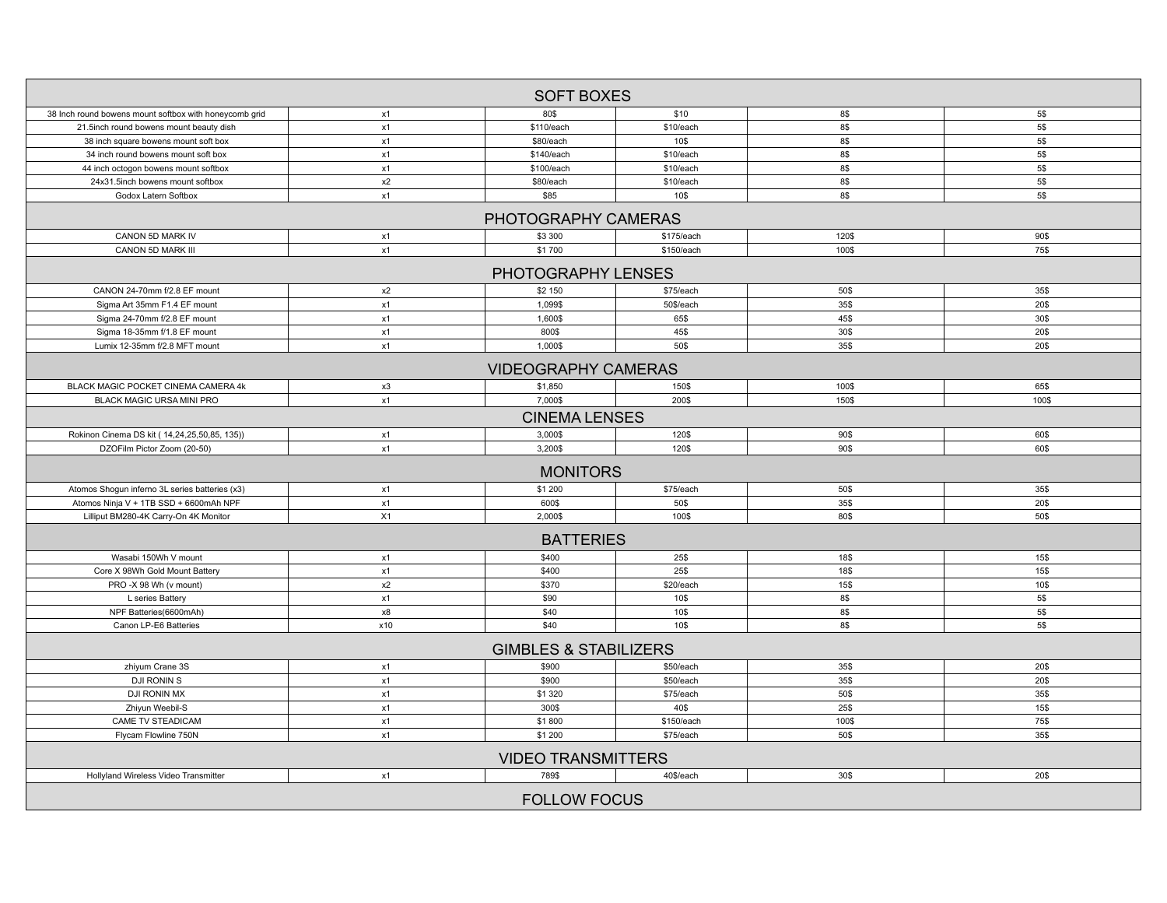|                                                        |     | <b>SOFT BOXES</b>                |            |       |       |  |  |
|--------------------------------------------------------|-----|----------------------------------|------------|-------|-------|--|--|
| 38 Inch round bowens mount softbox with honeycomb grid | x1  | 80\$                             | \$10       | 8\$   | 5\$   |  |  |
| 21.5inch round bowens mount beauty dish                | x1  | \$110/each                       | \$10/each  | 8\$   | 5\$   |  |  |
| 38 inch square bowens mount soft box                   | x1  | \$80/each                        | 10\$       | 8\$   | 5\$   |  |  |
| 34 inch round bowens mount soft box                    | x1  | \$140/each                       | \$10/each  | 8\$   | 5\$   |  |  |
| 44 inch octogon bowens mount softbox                   | x1  | \$100/each                       | \$10/each  | 8\$   | 5\$   |  |  |
| 24x31.5inch bowens mount softbox                       | x2  | \$80/each                        | \$10/each  | 8\$   | 5\$   |  |  |
| Godox Latern Softbox                                   | x1  | \$85                             | 10\$       | 8\$   | 5\$   |  |  |
|                                                        |     | PHOTOGRAPHY CAMERAS              |            |       |       |  |  |
| CANON 5D MARK IV                                       | x1  | \$3 300                          | \$175/each | 120\$ | 90\$  |  |  |
| CANON 5D MARK III                                      | x1  | \$1700                           | \$150/each | 100\$ | 75\$  |  |  |
|                                                        |     | PHOTOGRAPHY LENSES               |            |       |       |  |  |
| CANON 24-70mm f/2.8 EF mount                           | x2  | \$2 150                          | \$75/each  | 50\$  | 35\$  |  |  |
| Sigma Art 35mm F1.4 EF mount                           | x1  | 1,099\$                          | 50\$/each  | 35\$  | 20\$  |  |  |
| Sigma 24-70mm f/2.8 EF mount                           | x1  | 1,600\$                          | 65\$       | 45\$  | 30\$  |  |  |
| Sigma 18-35mm f/1.8 EF mount                           | x1  | 800\$                            | 45\$       | 30\$  | 20\$  |  |  |
| Lumix 12-35mm f/2.8 MFT mount                          | x1  | 1,000\$                          | 50\$       | 35\$  | 20\$  |  |  |
|                                                        |     | <b>VIDEOGRAPHY CAMERAS</b>       |            |       |       |  |  |
| BLACK MAGIC POCKET CINEMA CAMERA 4k                    | x3  | \$1,850                          | 150\$      | 100\$ | 65\$  |  |  |
| BLACK MAGIC URSA MINI PRO                              | x1  | 7,000\$                          | 200\$      | 150\$ | 100\$ |  |  |
| <b>CINEMA LENSES</b>                                   |     |                                  |            |       |       |  |  |
| Rokinon Cinema DS kit (14,24,25,50,85, 135))           | x1  | 3,000\$                          | 120\$      | 90\$  | 60\$  |  |  |
| DZOFilm Pictor Zoom (20-50)                            | x1  | 3,200\$                          | 120\$      | 90\$  | 60\$  |  |  |
| <b>MONITORS</b>                                        |     |                                  |            |       |       |  |  |
| Atomos Shogun inferno 3L series batteries (x3)         | x1  | \$1 200                          | \$75/each  | 50\$  | 35\$  |  |  |
| Atomos Ninja V + 1TB SSD + 6600mAh NPF                 | x1  | 600\$                            | 50\$       | 35\$  | 20\$  |  |  |
| Lilliput BM280-4K Carry-On 4K Monitor                  | X1  | 2,000\$                          | 100\$      | 80\$  | 50\$  |  |  |
| <b>BATTERIES</b>                                       |     |                                  |            |       |       |  |  |
| Wasabi 150Wh V mount                                   | x1  | \$400                            | 25\$       | 18\$  | 15\$  |  |  |
| Core X 98Wh Gold Mount Battery                         | x1  | \$400                            | 25\$       | 18\$  | 15\$  |  |  |
| PRO -X 98 Wh (v mount)                                 | x2  | \$370                            | \$20/each  | 15\$  | 10\$  |  |  |
| L series Battery                                       | x1  | \$90                             | 10\$       | 8\$   | 5\$   |  |  |
| NPF Batteries(6600mAh)                                 | x8  | \$40                             | 10\$       | 8\$   | 5\$   |  |  |
| Canon LP-E6 Batteries                                  | x10 | \$40                             | 10\$       | 8\$   | 5\$   |  |  |
|                                                        |     | <b>GIMBLES &amp; STABILIZERS</b> |            |       |       |  |  |
| zhiyum Crane 3S                                        | x1  | \$900                            | \$50/each  | 35\$  | 20\$  |  |  |
| DJI RONIN S                                            | x1  | \$900                            | \$50/each  | 35\$  | 20\$  |  |  |
| DJI RONIN MX                                           | x1  | \$1 3 20                         | \$75/each  | 50\$  | 35\$  |  |  |
| Zhiyun Weebil-S                                        | x1  | 300\$                            | 40\$       | 25\$  | 15\$  |  |  |
| <b>CAME TV STEADICAM</b>                               | x1  | \$1800                           | \$150/each | 100\$ | 75\$  |  |  |
| Flycam Flowline 750N                                   | x1  | \$1 200                          | \$75/each  | 50\$  | 35\$  |  |  |
| <b>VIDEO TRANSMITTERS</b>                              |     |                                  |            |       |       |  |  |
| Hollyland Wireless Video Transmitter                   | x1  | 789\$                            | 40\$/each  | 30\$  | 20\$  |  |  |
|                                                        |     | <b>FOLLOW FOCUS</b>              |            |       |       |  |  |